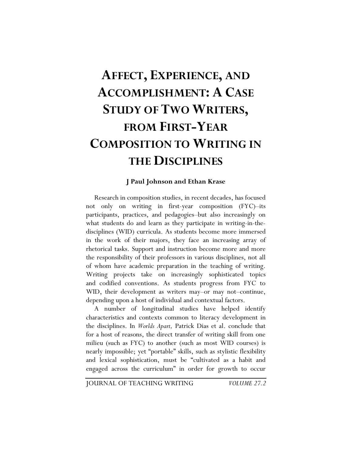# **AFFECT, EXPERIENCE, AND ACCOMPLISHMENT: A CASE STUDY OF TWO WRITERS, FROM FIRST-YEAR COMPOSITION TO WRITING IN THE DISCIPLINES**

## **J Paul Johnson and Ethan Krase**

Research in composition studies, in recent decades, has focused not only on writing in first-year composition (FYC)–its participants, practices, and pedagogies–but also increasingly on what students do and learn as they participate in writing-in-thedisciplines (WID) curricula. As students become more immersed in the work of their majors, they face an increasing array of rhetorical tasks. Support and instruction become more and more the responsibility of their professors in various disciplines, not all of whom have academic preparation in the teaching of writing. Writing projects take on increasingly sophisticated topics and codified conventions. As students progress from FYC to WID, their development as writers may—or may not—continue, depending upon a host of individual and contextual factors.

A number of longitudinal studies have helped identify characteristics and contexts common to literacy development in the disciplines. In *Worlds Apart,* Patrick Dias et al. conclude that for a host of reasons, the direct transfer of writing skill from one milieu (such as FYC) to another (such as most WID courses) is nearly impossible; yet "portable" skills, such as stylistic flexibility and lexical sophistication, must be "cultivated as a habit and engaged across the curriculum" in order for growth to occur

JOURNAL OF TEACHING WRITING *VOLUME 27.2*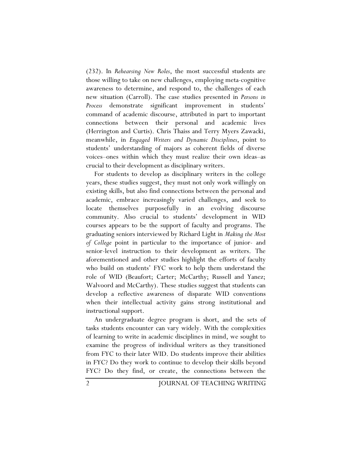(232). In *Rehearsing New Roles*, the most successful students are those willing to take on new challenges, employing meta-cognitive awareness to determine, and respond to, the challenges of each new situation (Carroll). The case studies presented in *Persons in Process* demonstrate significant improvement in students' command of academic discourse, attributed in part to important connections between their personal and academic lives (Herrington and Curtis). Chris Thaiss and Terry Myers Zawacki, meanwhile, in *Engaged Writers and Dynamic Disciplines*, point to students' understanding of majors as coherent fields of diverse voices–ones within which they must realize their own ideas–as crucial to their development as disciplinary writers.

For students to develop as disciplinary writers in the college years, these studies suggest, they must not only work willingly on existing skills, but also find connections between the personal and academic, embrace increasingly varied challenges, and seek to locate themselves purposefully in an evolving discourse community. Also crucial to students' development in WID courses appears to be the support of faculty and programs. The graduating seniors interviewed by Richard Light in *Making the Most of College* point in particular to the importance of junior- and senior-level instruction to their development as writers. The aforementioned and other studies highlight the efforts of faculty who build on students' FYC work to help them understand the role of WID (Beaufort; Carter; McCarthy; Russell and Yanez; Walvoord and McCarthy). These studies suggest that students can develop a reflective awareness of disparate WID conventions when their intellectual activity gains strong institutional and instructional support.

An undergraduate degree program is short, and the sets of tasks students encounter can vary widely. With the complexities of learning to write in academic disciplines in mind, we sought to examine the progress of individual writers as they transitioned from FYC to their later WID. Do students improve their abilities in FYC? Do they work to continue to develop their skills beyond FYC? Do they find, or create, the connections between the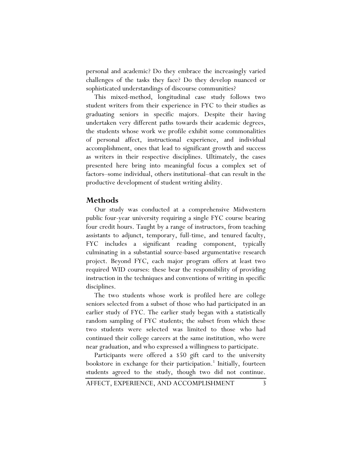personal and academic? Do they embrace the increasingly varied challenges of the tasks they face? Do they develop nuanced or sophisticated understandings of discourse communities?

This mixed-method, longitudinal case study follows two student writers from their experience in FYC to their studies as graduating seniors in specific majors. Despite their having undertaken very different paths towards their academic degrees, the students whose work we profile exhibit some commonalities of personal affect, instructional experience, and individual accomplishment, ones that lead to significant growth and success as writers in their respective disciplines. Ultimately, the cases presented here bring into meaningful focus a complex set of factors–some individual, others institutional–that can result in the productive development of student writing ability.

## **Methods**

Our study was conducted at a comprehensive Midwestern public four-year university requiring a single FYC course bearing four credit hours. Taught by a range of instructors, from teaching assistants to adjunct, temporary, full-time, and tenured faculty, FYC includes a significant reading component, typically culminating in a substantial source-based argumentative research project. Beyond FYC, each major program offers at least two required WID courses: these bear the responsibility of providing instruction in the techniques and conventions of writing in specific disciplines.

The two students whose work is profiled here are college seniors selected from a subset of those who had participated in an earlier study of FYC. The earlier study began with a statistically random sampling of FYC students; the subset from which these two students were selected was limited to those who had continued their college careers at the same institution, who were near graduation, and who expressed a willingness to participate.

Participants were offered a \$50 gift card to the university bookstore in exchange for their participation.<sup>1</sup> Initially, fourteen students agreed to the study, though two did not continue.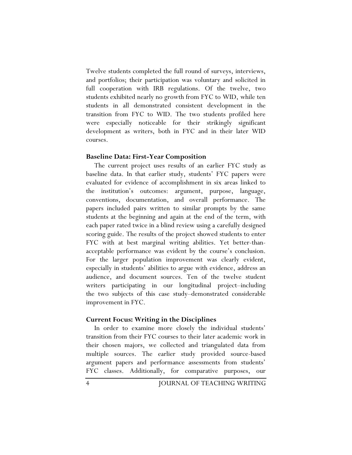Twelve students completed the full round of surveys, interviews, and portfolios; their participation was voluntary and solicited in full cooperation with IRB regulations. Of the twelve, two students exhibited nearly no growth from FYC to WID, while ten students in all demonstrated consistent development in the transition from FYC to WID. The two students profiled here were especially noticeable for their strikingly significant development as writers, both in FYC and in their later WID courses.

#### **Baseline Data: First-Year Composition**

The current project uses results of an earlier FYC study as baseline data. In that earlier study, students' FYC papers were evaluated for evidence of accomplishment in six areas linked to the institution's outcomes: argument, purpose, language, conventions, documentation, and overall performance. The papers included pairs written to similar prompts by the same students at the beginning and again at the end of the term, with each paper rated twice in a blind review using a carefully designed scoring guide. The results of the project showed students to enter FYC with at best marginal writing abilities. Yet better-thanacceptable performance was evident by the course's conclusion. For the larger population improvement was clearly evident, especially in students' abilities to argue with evidence, address an audience, and document sources. Ten of the twelve student writers participating in our longitudinal project–including the two subjects of this case study–demonstrated considerable improvement in FYC.

#### **Current Focus: Writing in the Disciplines**

In order to examine more closely the individual students' transition from their FYC courses to their later academic work in their chosen majors, we collected and triangulated data from multiple sources. The earlier study provided source-based argument papers and performance assessments from students' FYC classes. Additionally, for comparative purposes, our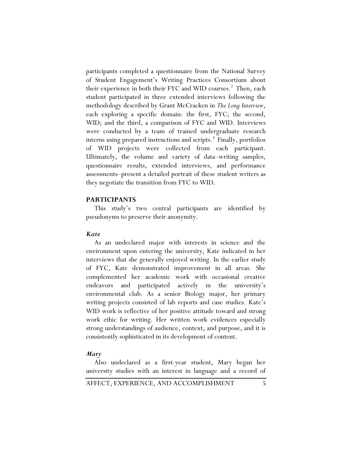participants completed a questionnaire from the National Survey of Student Engagement's Writing Practices Consortium about their experience in both their FYC and WID courses.<sup>2</sup> Then, each student participated in three extended interviews following the methodology described by Grant McCracken in *The Long Interview*, each exploring a specific domain: the first, FYC; the second, WID; and the third, a comparison of FYC and WID. Interviews were conducted by a team of trained undergraduate research interns using prepared instructions and scripts.<sup>3</sup> Finally, portfolios of WID projects were collected from each participant. Ultimately, the volume and variety of data–writing samples, questionnaire results, extended interviews, and performance assessments–present a detailed portrait of these student writers as they negotiate the transition from FYC to WID.

#### **PARTICIPANTS**

This study's two central participants are identified by pseudonyms to preserve their anonymity.

### *Kate*

As an undeclared major with interests in science and the environment upon entering the university, Kate indicated in her interviews that she generally enjoyed writing. In the earlier study of FYC, Kate demonstrated improvement in all areas. She complemented her academic work with occasional creative endeavors and participated actively in the university's environmental club. As a senior Biology major, her primary writing projects consisted of lab reports and case studies. Kate's WID work is reflective of her positive attitude toward and strong work ethic for writing. Her written work evidences especially strong understandings of audience, context, and purpose, and it is consistently sophisticated in its development of content.

#### *Mary*

Also undeclared as a first-year student, Mary began her university studies with an interest in language and a record of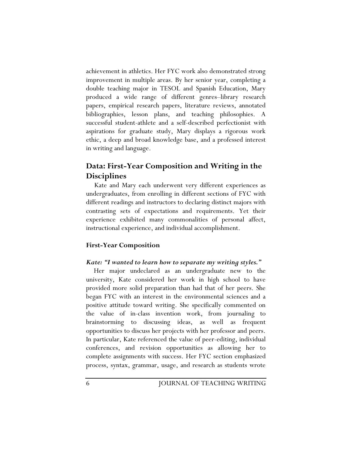achievement in athletics. Her FYC work also demonstrated strong improvement in multiple areas. By her senior year, completing a double teaching major in TESOL and Spanish Education, Mary produced a wide range of different genres–library research papers, empirical research papers, literature reviews, annotated bibliographies, lesson plans, and teaching philosophies. A successful student-athlete and a self-described perfectionist with aspirations for graduate study, Mary displays a rigorous work ethic, a deep and broad knowledge base, and a professed interest in writing and language.

# **Data: First-Year Composition and Writing in the Disciplines**

Kate and Mary each underwent very different experiences as undergraduates, from enrolling in different sections of FYC with different readings and instructors to declaring distinct majors with contrasting sets of expectations and requirements. Yet their experience exhibited many commonalities of personal affect, instructional experience, and individual accomplishment.

## **First-Year Composition**

#### *Kate: "I wanted to learn how to separate my writing styles."*

Her major undeclared as an undergraduate new to the university, Kate considered her work in high school to have provided more solid preparation than had that of her peers. She began FYC with an interest in the environmental sciences and a positive attitude toward writing. She specifically commented on the value of in-class invention work, from journaling to brainstorming to discussing ideas, as well as frequent opportunities to discuss her projects with her professor and peers. In particular, Kate referenced the value of peer-editing, individual conferences, and revision opportunities as allowing her to complete assignments with success. Her FYC section emphasized process, syntax, grammar, usage, and research as students wrote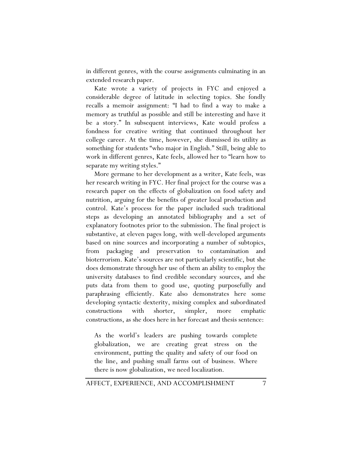in different genres, with the course assignments culminating in an extended research paper.

Kate wrote a variety of projects in FYC and enjoyed a considerable degree of latitude in selecting topics. She fondly recalls a memoir assignment: "I had to find a way to make a memory as truthful as possible and still be interesting and have it be a story." In subsequent interviews, Kate would profess a fondness for creative writing that continued throughout her college career. At the time, however, she dismissed its utility as something for students "who major in English." Still, being able to work in different genres, Kate feels, allowed her to "learn how to separate my writing styles."

More germane to her development as a writer, Kate feels, was her research writing in FYC. Her final project for the course was a research paper on the effects of globalization on food safety and nutrition, arguing for the benefits of greater local production and control. Kate's process for the paper included such traditional steps as developing an annotated bibliography and a set of explanatory footnotes prior to the submission. The final project is substantive, at eleven pages long, with well-developed arguments based on nine sources and incorporating a number of subtopics, from packaging and preservation to contamination and bioterrorism. Kate's sources are not particularly scientific, but she does demonstrate through her use of them an ability to employ the university databases to find credible secondary sources, and she puts data from them to good use, quoting purposefully and paraphrasing efficiently. Kate also demonstrates here some developing syntactic dexterity, mixing complex and subordinated constructions with shorter, simpler, more emphatic constructions, as she does here in her forecast and thesis sentence:

As the world's leaders are pushing towards complete globalization, we are creating great stress on the environment, putting the quality and safety of our food on the line, and pushing small farms out of business. Where there is now globalization, we need localization.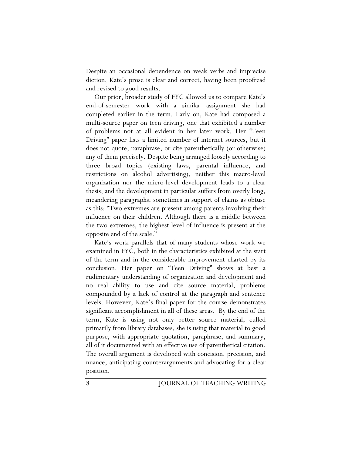Despite an occasional dependence on weak verbs and imprecise diction, Kate's prose is clear and correct, having been proofread and revised to good results.

Our prior, broader study of FYC allowed us to compare Kate's end-of-semester work with a similar assignment she had completed earlier in the term. Early on, Kate had composed a multi-source paper on teen driving, one that exhibited a number of problems not at all evident in her later work. Her "Teen Driving" paper lists a limited number of internet sources, but it does not quote, paraphrase, or cite parenthetically (or otherwise) any of them precisely. Despite being arranged loosely according to three broad topics (existing laws, parental influence, and restrictions on alcohol advertising), neither this macro-level organization nor the micro-level development leads to a clear thesis, and the development in particular suffers from overly long, meandering paragraphs, sometimes in support of claims as obtuse as this: "Two extremes are present among parents involving their influence on their children. Although there is a middle between the two extremes, the highest level of influence is present at the opposite end of the scale."

Kate's work parallels that of many students whose work we examined in FYC, both in the characteristics exhibited at the start of the term and in the considerable improvement charted by its conclusion. Her paper on "Teen Driving" shows at best a rudimentary understanding of organization and development and no real ability to use and cite source material, problems compounded by a lack of control at the paragraph and sentence levels. However, Kate's final paper for the course demonstrates significant accomplishment in all of these areas. By the end of the term, Kate is using not only better source material, culled primarily from library databases, she is using that material to good purpose, with appropriate quotation, paraphrase, and summary, all of it documented with an effective use of parenthetical citation. The overall argument is developed with concision, precision, and nuance, anticipating counterarguments and advocating for a clear position.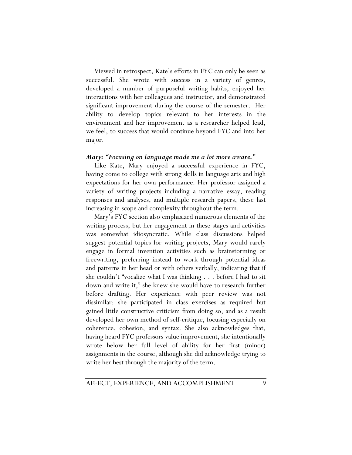Viewed in retrospect, Kate's efforts in FYC can only be seen as successful. She wrote with success in a variety of genres, developed a number of purposeful writing habits, enjoyed her interactions with her colleagues and instructor, and demonstrated significant improvement during the course of the semester. Her ability to develop topics relevant to her interests in the environment and her improvement as a researcher helped lead, we feel, to success that would continue beyond FYC and into her major.

## *Mary: "Focusing on language made me a lot more aware."*

Like Kate, Mary enjoyed a successful experience in FYC, having come to college with strong skills in language arts and high expectations for her own performance. Her professor assigned a variety of writing projects including a narrative essay, reading responses and analyses, and multiple research papers, these last increasing in scope and complexity throughout the term.

Mary's FYC section also emphasized numerous elements of the writing process, but her engagement in these stages and activities was somewhat idiosyncratic. While class discussions helped suggest potential topics for writing projects, Mary would rarely engage in formal invention activities such as brainstorming or freewriting, preferring instead to work through potential ideas and patterns in her head or with others verbally, indicating that if she couldn't "vocalize what I was thinking . . . before I had to sit down and write it," she knew she would have to research further before drafting. Her experience with peer review was not dissimilar: she participated in class exercises as required but gained little constructive criticism from doing so, and as a result developed her own method of self-critique, focusing especially on coherence, cohesion, and syntax. She also acknowledges that, having heard FYC professors value improvement, she intentionally wrote below her full level of ability for her first (minor) assignments in the course, although she did acknowledge trying to write her best through the majority of the term.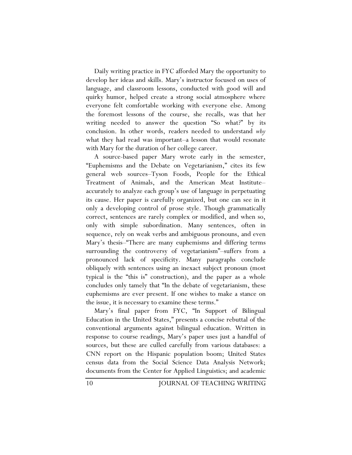Daily writing practice in FYC afforded Mary the opportunity to develop her ideas and skills. Mary's instructor focused on uses of language, and classroom lessons, conducted with good will and quirky humor, helped create a strong social atmosphere where everyone felt comfortable working with everyone else. Among the foremost lessons of the course, she recalls, was that her writing needed to answer the question "So what?" by its conclusion. In other words, readers needed to understand *why*  what they had read was important–a lesson that would resonate with Mary for the duration of her college career.

A source-based paper Mary wrote early in the semester, "Euphemisms and the Debate on Vegetarianism," cites its few general web sources–Tyson Foods, People for the Ethical Treatment of Animals, and the American Meat Institute– accurately to analyze each group's use of language in perpetuating its cause. Her paper is carefully organized, but one can see in it only a developing control of prose style. Though grammatically correct, sentences are rarely complex or modified, and when so, only with simple subordination. Many sentences, often in sequence, rely on weak verbs and ambiguous pronouns, and even Mary's thesis–"There are many euphemisms and differing terms surrounding the controversy of vegetarianism"–suffers from a pronounced lack of specificity. Many paragraphs conclude obliquely with sentences using an inexact subject pronoun (most typical is the "this is" construction), and the paper as a whole concludes only tamely that "In the debate of vegetarianism, these euphemisms are ever present. If one wishes to make a stance on the issue, it is necessary to examine these terms."

Mary's final paper from FYC, "In Support of Bilingual Education in the United States," presents a concise rebuttal of the conventional arguments against bilingual education. Written in response to course readings, Mary's paper uses just a handful of sources, but these are culled carefully from various databases: a CNN report on the Hispanic population boom; United States census data from the Social Science Data Analysis Network; documents from the Center for Applied Linguistics; and academic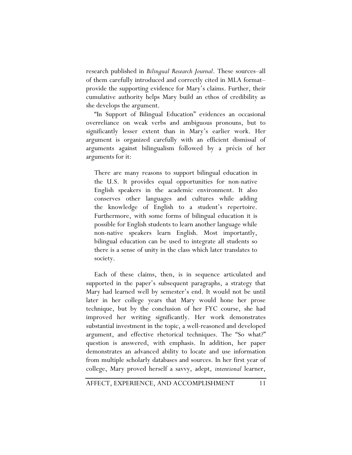research published in *Bilingual Research Journal*. These sources–all of them carefully introduced and correctly cited in MLA format– provide the supporting evidence for Mary's claims. Further, their cumulative authority helps Mary build an ethos of credibility as she develops the argument.

"In Support of Bilingual Education" evidences an occasional overreliance on weak verbs and ambiguous pronouns, but to significantly lesser extent than in Mary's earlier work. Her argument is organized carefully with an efficient dismissal of arguments against bilingualism followed by a précis of her arguments for it:

There are many reasons to support bilingual education in the U.S. It provides equal opportunities for non-native English speakers in the academic environment. It also conserves other languages and cultures while adding the knowledge of English to a student's repertoire. Furthermore, with some forms of bilingual education it is possible for English students to learn another language while non-native speakers learn English. Most importantly, bilingual education can be used to integrate all students so there is a sense of unity in the class which later translates to society.

Each of these claims, then, is in sequence articulated and supported in the paper's subsequent paragraphs, a strategy that Mary had learned well by semester's end. It would not be until later in her college years that Mary would hone her prose technique, but by the conclusion of her FYC course, she had improved her writing significantly. Her work demonstrates substantial investment in the topic, a well-reasoned and developed argument, and effective rhetorical techniques. The "So what?" question is answered, with emphasis. In addition, her paper demonstrates an advanced ability to locate and use information from multiple scholarly databases and sources. In her first year of college, Mary proved herself a savvy, adept, *intentional* learner,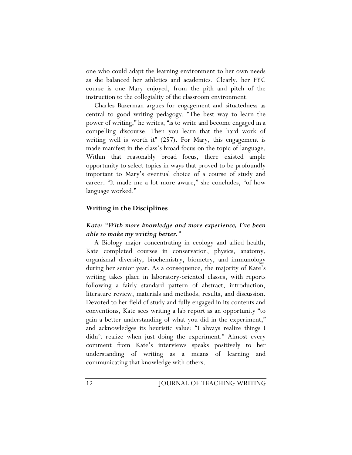one who could adapt the learning environment to her own needs as she balanced her athletics and academics. Clearly, her FYC course is one Mary enjoyed, from the pith and pitch of the instruction to the collegiality of the classroom environment.

Charles Bazerman argues for engagement and situatedness as central to good writing pedagogy: "The best way to learn the power of writing," he writes, "is to write and become engaged in a compelling discourse. Then you learn that the hard work of writing well is worth it" (257). For Mary, this engagement is made manifest in the class's broad focus on the topic of language. Within that reasonably broad focus, there existed ample opportunity to select topics in ways that proved to be profoundly important to Mary's eventual choice of a course of study and career. "It made me a lot more aware," she concludes, "of how language worked."

## **Writing in the Disciplines**

## *Kate: "With more knowledge and more experience, I've been able to make my writing better."*

A Biology major concentrating in ecology and allied health, Kate completed courses in conservation, physics, anatomy, organismal diversity, biochemistry, biometry, and immunology during her senior year. As a consequence, the majority of Kate's writing takes place in laboratory-oriented classes, with reports following a fairly standard pattern of abstract, introduction, literature review, materials and methods, results, and discussion. Devoted to her field of study and fully engaged in its contents and conventions, Kate sees writing a lab report as an opportunity "to gain a better understanding of what you did in the experiment," and acknowledges its heuristic value: "I always realize things I didn't realize when just doing the experiment." Almost every comment from Kate's interviews speaks positively to her understanding of writing as a means of learning and communicating that knowledge with others.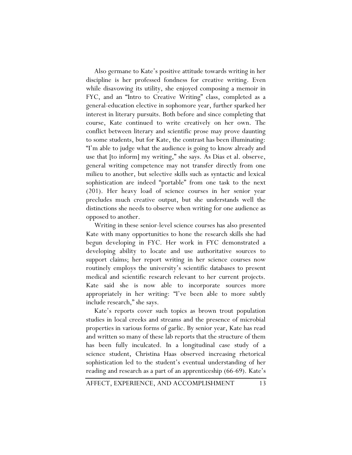Also germane to Kate's positive attitude towards writing in her discipline is her professed fondness for creative writing. Even while disavowing its utility, she enjoyed composing a memoir in FYC, and an "Intro to Creative Writing" class, completed as a general-education elective in sophomore year, further sparked her interest in literary pursuits. Both before and since completing that course, Kate continued to write creatively on her own. The conflict between literary and scientific prose may prove daunting to some students, but for Kate, the contrast has been illuminating: "I'm able to judge what the audience is going to know already and use that [to inform] my writing," she says. As Dias et al. observe, general writing competence may not transfer directly from one milieu to another, but selective skills such as syntactic and lexical sophistication are indeed "portable" from one task to the next (201). Her heavy load of science courses in her senior year precludes much creative output, but she understands well the distinctions she needs to observe when writing for one audience as opposed to another.

Writing in these senior-level science courses has also presented Kate with many opportunities to hone the research skills she had begun developing in FYC. Her work in FYC demonstrated a developing ability to locate and use authoritative sources to support claims; her report writing in her science courses now routinely employs the university's scientific databases to present medical and scientific research relevant to her current projects. Kate said she is now able to incorporate sources more appropriately in her writing: "I've been able to more subtly include research," she says.

Kate's reports cover such topics as brown trout population studies in local creeks and streams and the presence of microbial properties in various forms of garlic. By senior year, Kate has read and written so many of these lab reports that the structure of them has been fully inculcated. In a longitudinal case study of a science student, Christina Haas observed increasing rhetorical sophistication led to the student's eventual understanding of her reading and research as a part of an apprenticeship (66-69). Kate's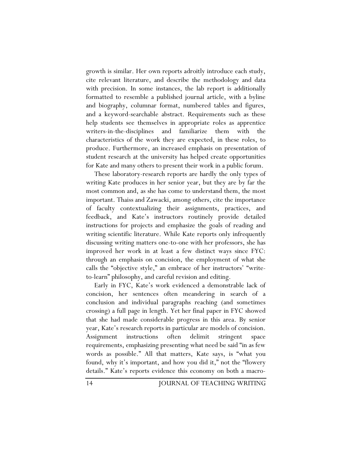growth is similar. Her own reports adroitly introduce each study, cite relevant literature, and describe the methodology and data with precision. In some instances, the lab report is additionally formatted to resemble a published journal article, with a byline and biography, columnar format, numbered tables and figures, and a keyword-searchable abstract. Requirements such as these help students see themselves in appropriate roles as apprentice writers-in-the-disciplines and familiarize them with the characteristics of the work they are expected, in these roles, to produce. Furthermore, an increased emphasis on presentation of student research at the university has helped create opportunities for Kate and many others to present their work in a public forum.

These laboratory-research reports are hardly the only types of writing Kate produces in her senior year, but they are by far the most common and, as she has come to understand them, the most important. Thaiss and Zawacki, among others, cite the importance of faculty contextualizing their assignments, practices, and feedback, and Kate's instructors routinely provide detailed instructions for projects and emphasize the goals of reading and writing scientific literature. While Kate reports only infrequently discussing writing matters one-to-one with her professors, she has improved her work in at least a few distinct ways since FYC: through an emphasis on concision, the employment of what she calls the "objective style," an embrace of her instructors' "writeto-learn" philosophy, and careful revision and editing.

Early in FYC, Kate's work evidenced a demonstrable lack of concision, her sentences often meandering in search of a conclusion and individual paragraphs reaching (and sometimes crossing) a full page in length. Yet her final paper in FYC showed that she had made considerable progress in this area. By senior year, Kate's research reports in particular are models of concision. Assignment instructions often delimit stringent space requirements, emphasizing presenting what need be said "in as few words as possible." All that matters, Kate says, is "what you found, why it's important, and how you did it," not the "flowery details." Kate's reports evidence this economy on both a macro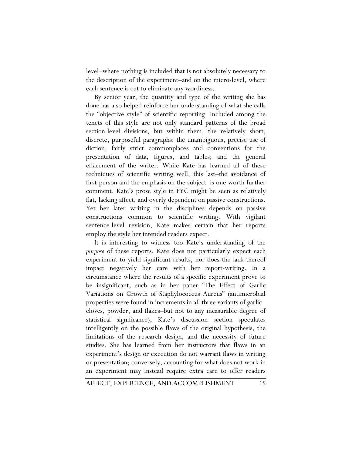level–where nothing is included that is not absolutely necessary to the description of the experiment–and on the micro-level, where each sentence is cut to eliminate any wordiness.

By senior year, the quantity and type of the writing she has done has also helped reinforce her understanding of what she calls the "objective style" of scientific reporting. Included among the tenets of this style are not only standard patterns of the broad section-level divisions, but within them, the relatively short, discrete, purposeful paragraphs; the unambiguous, precise use of diction; fairly strict commonplaces and conventions for the presentation of data, figures, and tables; and the general effacement of the writer. While Kate has learned all of these techniques of scientific writing well, this last–the avoidance of first-person and the emphasis on the subject–is one worth further comment. Kate's prose style in FYC might be seen as relatively flat, lacking affect, and overly dependent on passive constructions. Yet her later writing in the disciplines depends on passive constructions common to scientific writing. With vigilant sentence-level revision, Kate makes certain that her reports employ the style her intended readers expect.

It is interesting to witness too Kate's understanding of the *purpose* of these reports. Kate does not particularly expect each experiment to yield significant results, nor does the lack thereof impact negatively her care with her report-writing. In a circumstance where the results of a specific experiment prove to be insignificant, such as in her paper "The Effect of Garlic Variations on Growth of Staphylococcus Aureus" (antimicrobial properties were found in increments in all three variants of garlic– cloves, powder, and flakes–but not to any measurable degree of statistical significance), Kate's discussion section speculates intelligently on the possible flaws of the original hypothesis, the limitations of the research design, and the necessity of future studies. She has learned from her instructors that flaws in an experiment's design or execution do not warrant flaws in writing or presentation; conversely, accounting for what does not work in an experiment may instead require extra care to offer readers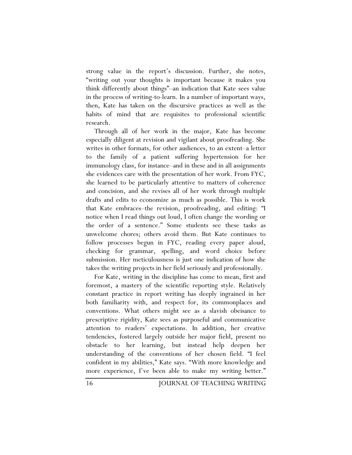strong value in the report's discussion. Further, she notes, "writing out your thoughts is important because it makes you think differently about things"–an indication that Kate sees value in the process of writing-to-learn. In a number of important ways, then, Kate has taken on the discursive practices as well as the habits of mind that are requisites to professional scientific research.

Through all of her work in the major, Kate has become especially diligent at revision and vigilant about proofreading. She writes in other formats, for other audiences, to an extent–a letter to the family of a patient suffering hypertension for her immunology class, for instance–and in these and in all assignments she evidences care with the presentation of her work. From FYC, she learned to be particularly attentive to matters of coherence and concision, and she revises all of her work through multiple drafts and edits to economize as much as possible. This is work that Kate embraces–the revision, proofreading, and editing: "I notice when I read things out loud, I often change the wording or the order of a sentence." Some students see these tasks as unwelcome chores; others avoid them. But Kate continues to follow processes begun in FYC, reading every paper aloud, checking for grammar, spelling, and word choice before submission. Her meticulousness is just one indication of how she takes the writing projects in her field seriously and professionally.

For Kate, writing in the discipline has come to mean, first and foremost, a mastery of the scientific reporting style. Relatively constant practice in report writing has deeply ingrained in her both familiarity with, and respect for, its commonplaces and conventions. What others might see as a slavish obeisance to prescriptive rigidity, Kate sees as purposeful and communicative attention to readers' expectations. In addition, her creative tendencies, fostered largely outside her major field, present no obstacle to her learning, but instead help deepen her understanding of the conventions of her chosen field. "I feel confident in my abilities," Kate says. "With more knowledge and more experience, I've been able to make my writing better."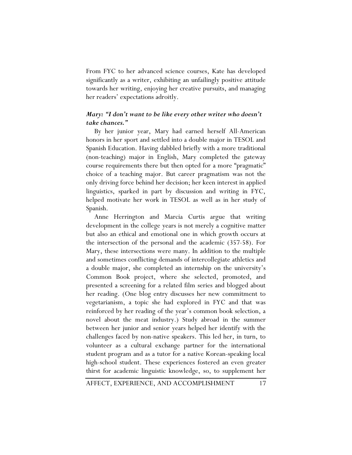From FYC to her advanced science courses, Kate has developed significantly as a writer, exhibiting an unfailingly positive attitude towards her writing, enjoying her creative pursuits, and managing her readers' expectations adroitly.

## *Mary: "I don't want to be like every other writer who doesn't take chances."*

By her junior year, Mary had earned herself All-American honors in her sport and settled into a double major in TESOL and Spanish Education. Having dabbled briefly with a more traditional (non-teaching) major in English, Mary completed the gateway course requirements there but then opted for a more "pragmatic" choice of a teaching major. But career pragmatism was not the only driving force behind her decision; her keen interest in applied linguistics, sparked in part by discussion and writing in FYC, helped motivate her work in TESOL as well as in her study of Spanish.

Anne Herrington and Marcia Curtis argue that writing development in the college years is not merely a cognitive matter but also an ethical and emotional one in which growth occurs at the intersection of the personal and the academic (357-58). For Mary, these intersections were many. In addition to the multiple and sometimes conflicting demands of intercollegiate athletics and a double major, she completed an internship on the university's Common Book project, where she selected, promoted, and presented a screening for a related film series and blogged about her reading. (One blog entry discusses her new commitment to vegetarianism, a topic she had explored in FYC and that was reinforced by her reading of the year's common book selection, a novel about the meat industry.) Study abroad in the summer between her junior and senior years helped her identify with the challenges faced by non-native speakers. This led her, in turn, to volunteer as a cultural exchange partner for the international student program and as a tutor for a native Korean-speaking local high-school student. These experiences fostered an even greater thirst for academic linguistic knowledge, so, to supplement her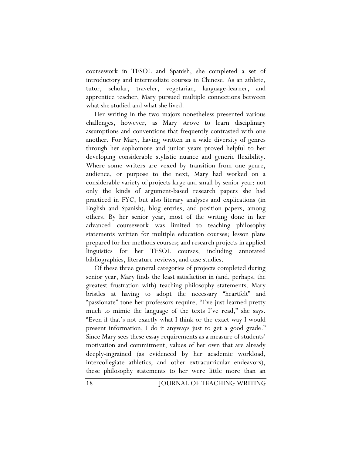coursework in TESOL and Spanish, she completed a set of introductory and intermediate courses in Chinese. As an athlete, tutor, scholar, traveler, vegetarian, language-learner, and apprentice teacher, Mary pursued multiple connections between what she studied and what she lived.

Her writing in the two majors nonetheless presented various challenges, however, as Mary strove to learn disciplinary assumptions and conventions that frequently contrasted with one another. For Mary, having written in a wide diversity of genres through her sophomore and junior years proved helpful to her developing considerable stylistic nuance and generic flexibility. Where some writers are vexed by transition from one genre, audience, or purpose to the next, Mary had worked on a considerable variety of projects large and small by senior year: not only the kinds of argument-based research papers she had practiced in FYC, but also literary analyses and explications (in English and Spanish), blog entries, and position papers, among others. By her senior year, most of the writing done in her advanced coursework was limited to teaching philosophy statements written for multiple education courses; lesson plans prepared for her methods courses; and research projects in applied linguistics for her TESOL courses, including annotated bibliographies, literature reviews, and case studies.

Of these three general categories of projects completed during senior year, Mary finds the least satisfaction in (and, perhaps, the greatest frustration with) teaching philosophy statements. Mary bristles at having to adopt the necessary "heartfelt" and "passionate" tone her professors require. "I've just learned pretty much to mimic the language of the texts I've read," she says. "Even if that's not exactly what I think or the exact way I would present information, I do it anyways just to get a good grade." Since Mary sees these essay requirements as a measure of students' motivation and commitment, values of her own that are already deeply-ingrained (as evidenced by her academic workload, intercollegiate athletics, and other extracurricular endeavors), these philosophy statements to her were little more than an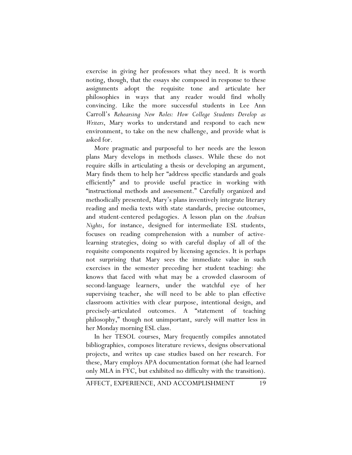exercise in giving her professors what they need. It is worth noting, though, that the essays she composed in response to these assignments adopt the requisite tone and articulate her philosophies in ways that any reader would find wholly convincing. Like the more successful students in Lee Ann Carroll's *Rehearsing New Roles: How College Students Develop as Writers*, Mary works to understand and respond to each new environment, to take on the new challenge, and provide what is asked for.

More pragmatic and purposeful to her needs are the lesson plans Mary develops in methods classes. While these do not require skills in articulating a thesis or developing an argument, Mary finds them to help her "address specific standards and goals efficiently" and to provide useful practice in working with "instructional methods and assessment." Carefully organized and methodically presented, Mary's plans inventively integrate literary reading and media texts with state standards, precise outcomes, and student-centered pedagogies. A lesson plan on the *Arabian Nights*, for instance, designed for intermediate ESL students, focuses on reading comprehension with a number of activelearning strategies, doing so with careful display of all of the requisite components required by licensing agencies. It is perhaps not surprising that Mary sees the immediate value in such exercises in the semester preceding her student teaching: she knows that faced with what may be a crowded classroom of second-language learners, under the watchful eye of her supervising teacher, she will need to be able to plan effective classroom activities with clear purpose, intentional design, and precisely-articulated outcomes. A "statement of teaching philosophy," though not unimportant, surely will matter less in her Monday morning ESL class.

In her TESOL courses, Mary frequently compiles annotated bibliographies, composes literature reviews, designs observational projects, and writes up case studies based on her research. For these, Mary employs APA documentation format (she had learned only MLA in FYC, but exhibited no difficulty with the transition).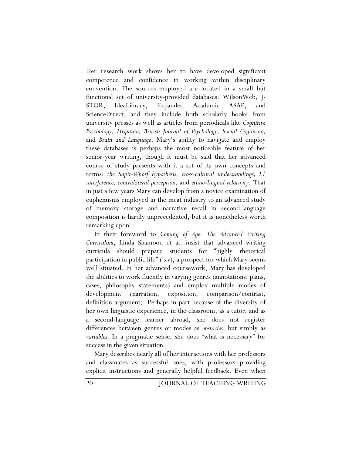Her research work shows her to have developed significant competence and confidence in working within disciplinary convention. The sources employed are located in a small but functional set of university-provided databases: WilsonWeb, J-STOR, IdeaLibrary, Expanded Academic ASAP, and ScienceDirect, and they include both scholarly books from university presses as well as articles from periodicals like *Cognitive Psychology, Hispania, British Journal of Psychology, Social Cognition,*  and *Brain and Language*. Mary's ability to navigate and employ these databases is perhaps the most noticeable feature of her senior-year writing, though it must be said that her advanced course of study presents with it a set of its own concepts and terms: *the Sapir-Whorf hypothesis, cross-cultural understandings, L1 interference, contralateral perception,* and *ethno-lingual relativity*. That in just a few years Mary can develop from a novice examination of euphemisms employed in the meat industry to an advanced study of memory storage and narrative recall in second-language composition is hardly unprecedented, but it is nonetheless worth remarking upon.

In their foreword to *Coming of Age: The Advanced Writing Curriculum*, Linda Shamoon et al. insist that advanced writing curricula should prepare students for "highly rhetorical participation in public life" ( xv), a prospect for which Mary seems well situated. In her advanced coursework, Mary has developed the abilities to work fluently in varying genres (annotations, plans, cases, philosophy statements) and employ multiple modes of development (narration, exposition, comparison/contrast, definition argument). Perhaps in part because of the diversity of her own linguistic experience, in the classroom, as a tutor, and as a second-language learner abroad, she does not register differences between genres or modes as *obstacles*, but simply as *variables*. In a pragmatic sense, she does "what is necessary" for success in the given situation.

Mary describes nearly all of her interactions with her professors and classmates as successful ones, with professors providing explicit instructions and generally helpful feedback. Even when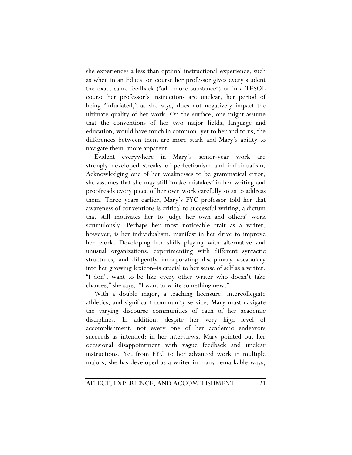she experiences a less-than-optimal instructional experience, such as when in an Education course her professor gives every student the exact same feedback ("add more substance") or in a TESOL course her professor's instructions are unclear, her period of being "infuriated," as she says, does not negatively impact the ultimate quality of her work. On the surface, one might assume that the conventions of her two major fields, language and education, would have much in common, yet to her and to us, the differences between them are more stark–and Mary's ability to navigate them, more apparent.

Evident everywhere in Mary's senior-year work are strongly developed streaks of perfectionism and individualism. Acknowledging one of her weaknesses to be grammatical error, she assumes that she may still "make mistakes" in her writing and proofreads every piece of her own work carefully so as to address them. Three years earlier, Mary's FYC professor told her that awareness of conventions is critical to successful writing, a dictum that still motivates her to judge her own and others' work scrupulously. Perhaps her most noticeable trait as a writer, however, is her individualism, manifest in her drive to improve her work. Developing her skills–playing with alternative and unusual organizations, experimenting with different syntactic structures, and diligently incorporating disciplinary vocabulary into her growing lexicon–is crucial to her sense of self as a writer. "I don't want to be like every other writer who doesn't take chances," she says. "I want to write something new."

With a double major, a teaching licensure, intercollegiate athletics, and significant community service, Mary must navigate the varying discourse communities of each of her academic disciplines. In addition, despite her very high level of accomplishment, not every one of her academic endeavors succeeds as intended: in her interviews, Mary pointed out her occasional disappointment with vague feedback and unclear instructions. Yet from FYC to her advanced work in multiple majors, she has developed as a writer in many remarkable ways,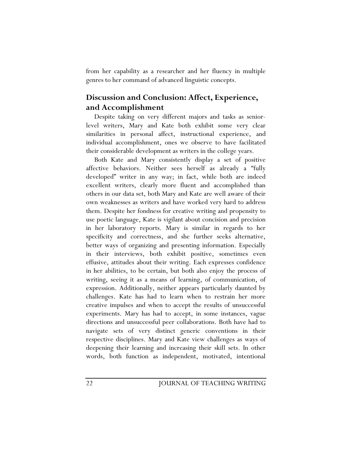from her capability as a researcher and her fluency in multiple genres to her command of advanced linguistic concepts.

## **Discussion and Conclusion: Affect, Experience, and Accomplishment**

Despite taking on very different majors and tasks as seniorlevel writers, Mary and Kate both exhibit some very clear similarities in personal affect, instructional experience, and individual accomplishment, ones we observe to have facilitated their considerable development as writers in the college years.

Both Kate and Mary consistently display a set of positive affective behaviors. Neither sees herself as already a "fully developed" writer in any way; in fact, while both are indeed excellent writers, clearly more fluent and accomplished than others in our data set, both Mary and Kate are well aware of their own weaknesses as writers and have worked very hard to address them. Despite her fondness for creative writing and propensity to use poetic language, Kate is vigilant about concision and precision in her laboratory reports. Mary is similar in regards to her specificity and correctness, and she further seeks alternative, better ways of organizing and presenting information. Especially in their interviews, both exhibit positive, sometimes even effusive, attitudes about their writing. Each expresses confidence in her abilities, to be certain, but both also enjoy the process of writing, seeing it as a means of learning, of communication, of expression. Additionally, neither appears particularly daunted by challenges. Kate has had to learn when to restrain her more creative impulses and when to accept the results of unsuccessful experiments. Mary has had to accept, in some instances, vague directions and unsuccessful peer collaborations. Both have had to navigate sets of very distinct generic conventions in their respective disciplines. Mary and Kate view challenges as ways of deepening their learning and increasing their skill sets. In other words, both function as independent, motivated, intentional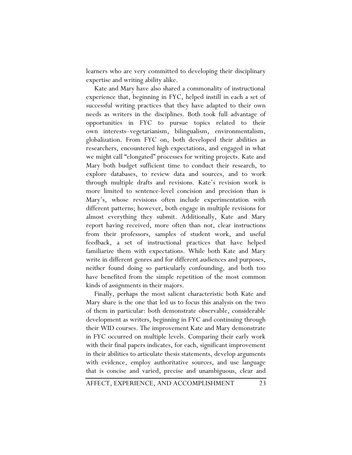learners who are very committed to developing their disciplinary expertise and writing ability alike.

Kate and Mary have also shared a commonality of instructional experience that, beginning in FYC, helped instill in each a set of successful writing practices that they have adapted to their own needs as writers in the disciplines. Both took full advantage of opportunities in FYC to pursue topics related to their own interests–vegetarianism, bilingualism, environmentalism, globalization. From FYC on, both developed their abilities as researchers, encountered high expectations, and engaged in what we might call "elongated" processes for writing projects. Kate and Mary both budget sufficient time to conduct their research, to explore databases, to review data and sources, and to work through multiple drafts and revisions. Kate's revision work is more limited to sentence-level concision and precision than is Mary's, whose revisions often include experimentation with different patterns; however, both engage in multiple revisions for almost everything they submit. Additionally, Kate and Mary report having received, more often than not, clear instructions from their professors, samples of student work, and useful feedback, a set of instructional practices that have helped familiarize them with expectations. While both Kate and Mary write in different genres and for different audiences and purposes, neither found doing so particularly confounding, and both too have benefited from the simple repetition of the most common kinds of assignments in their majors.

Finally, perhaps the most salient characteristic both Kate and Mary share is the one that led us to focus this analysis on the two of them in particular: both demonstrate observable, considerable development as writers, beginning in FYC and continuing through their WID courses. The improvement Kate and Mary demonstrate in FYC occurred on multiple levels. Comparing their early work with their final papers indicates, for each, significant improvement in their abilities to articulate thesis statements, develop arguments with evidence, employ authoritative sources, and use language that is concise and varied, precise and unambiguous, clear and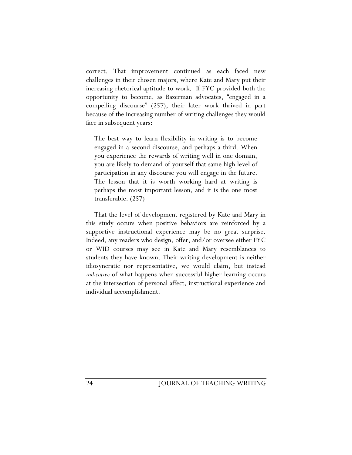correct. That improvement continued as each faced new challenges in their chosen majors, where Kate and Mary put their increasing rhetorical aptitude to work. If FYC provided both the opportunity to become, as Bazerman advocates, "engaged in a compelling discourse" (257), their later work thrived in part because of the increasing number of writing challenges they would face in subsequent years:

The best way to learn flexibility in writing is to become engaged in a second discourse, and perhaps a third. When you experience the rewards of writing well in one domain, you are likely to demand of yourself that same high level of participation in any discourse you will engage in the future. The lesson that it is worth working hard at writing is perhaps the most important lesson, and it is the one most transferable. (257)

That the level of development registered by Kate and Mary in this study occurs when positive behaviors are reinforced by a supportive instructional experience may be no great surprise. Indeed, any readers who design, offer, and/or oversee either FYC or WID courses may see in Kate and Mary resemblances to students they have known. Their writing development is neither idiosyncratic nor representative, we would claim, but instead *indicative* of what happens when successful higher learning occurs at the intersection of personal affect, instructional experience and individual accomplishment.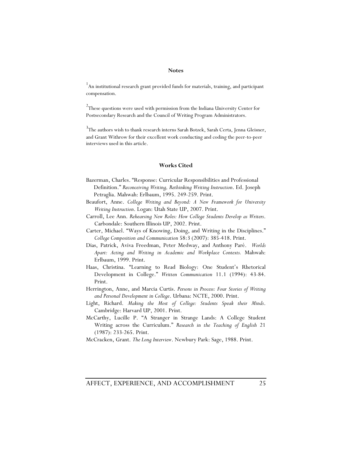#### **Notes**

1 An institutional research grant provided funds for materials, training, and participant compensation.

<sup>2</sup>These questions were used with permission from the Indiana University Center for Postsecondary Research and the Council of Writing Program Administrators.

<sup>3</sup>The authors wish to thank research interns Sarah Botzek, Sarah Certa, Jenna Gleisner, and Grant Withrow for their excellent work conducting and coding the peer-to-peer interviews used in this article.

#### **Works Cited**

- Bazerman, Charles. "Response: Curricular Responsibilities and Professional Definition." *Reconceiving Writing, Rethinking Writing Instruction*. Ed. Joseph Petraglia. Mahwah: Erlbaum, 1995. 249-259. Print.
- Beaufort, Anne. *College Writing and Beyond: A New Framework for University Writing Instruction*. Logan: Utah State UP, 2007. Print.
- Carroll, Lee Ann. *Rehearsing New Roles: How College Students Develop as Writers*. Carbondale: Southern Illinois UP, 2002. Print.
- Carter, Michael. "Ways of Knowing, Doing, and Writing in the Disciplines." *College Composition and Communication* 58:3 (2007): 385-418. Print.
- Dias, Patrick, Aviva Freedman, Peter Medway, and Anthony Paré. *Worlds Apart: Acting and Writing in Academic and Workplace Contexts.* Mahwah: Erlbaum, 1999. Print.
- Haas, Christina. "Learning to Read Biology: One Student's Rhetorical Development in College." *Written Communication* 11.1 (1994): 43-84. Print.
- Herrington, Anne, and Marcia Curtis. *Persons in Process: Four Stories of Writing and Personal Development in College*. Urbana: NCTE, 2000. Print.
- Light, Richard. *Making the Most of College: Students Speak their Minds*. Cambridge: Harvard UP, 2001. Print.
- McCarthy, Lucille P. "A Stranger in Strange Lands: A College Student Writing across the Curriculum." *Research in the Teaching of English* 21 (1987): 233-265. Print.

McCracken, Grant. *The Long Interview*. Newbury Park: Sage, 1988. Print.